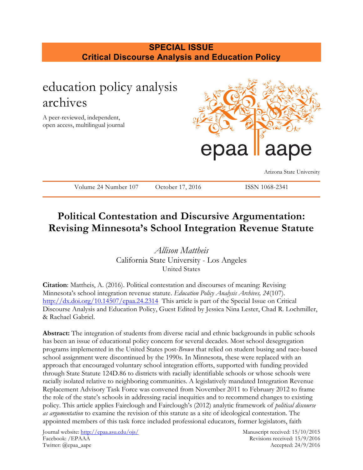# **SPECIAL ISSUE Critical Discourse Analysis and Education Policy**



# **Political Contestation and Discursive Argumentation: Revising Minnesota's School Integration Revenue Statute**

*Allison Mattheis* California State University - Los Angeles United States

**Citation**: Mattheis, A. (2016). Political contestation and discourses of meaning: Revising Minnesota's school integration revenue statute. *Education Policy Analysis Archives, 24*(107). <http://dx.doi.org/10.14507/epaa.24.2314> This article is part of the Special Issue on Critical Discourse Analysis and Education Policy, Guest Edited by Jessica Nina Lester, Chad R. Lochmiller, & Rachael Gabriel.

**Abstract:** The integration of students from diverse racial and ethnic backgrounds in public schools has been an issue of educational policy concern for several decades. Most school desegregation programs implemented in the United States post-*Brown* that relied on student busing and race-based school assignment were discontinued by the 1990s. In Minnesota, these were replaced with an approach that encouraged voluntary school integration efforts, supported with funding provided through State Statute 124D.86 to districts with racially identifiable schools or whose schools were racially isolated relative to neighboring communities. A legislatively mandated Integration Revenue Replacement Advisory Task Force was convened from November 2011 to February 2012 to frame the role of the state's schools in addressing racial inequities and to recommend changes to existing policy. This article applies Fairclough and Fairclough's (2012) analytic framework of *political discourse as argumentation* to examine the revision of this statute as a site of ideological contestation. The appointed members of this task force included professional educators, former legislators, faith

Journal website:<http://epaa.asu.edu/ojs/> Manuscript received: 15/10/2015 Facebook: /EPAAA Revisions received: 15/9/2016 Twitter: @epaa\_aape Accepted: 24/9/2016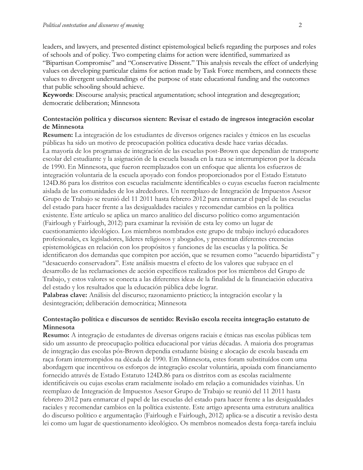leaders, and lawyers, and presented distinct epistemological beliefs regarding the purposes and roles of schools and of policy. Two competing claims for action were identified, summarized as "Bipartisan Compromise" and "Conservative Dissent." This analysis reveals the effect of underlying values on developing particular claims for action made by Task Force members, and connects these values to divergent understandings of the purpose of state educational funding and the outcomes that public schooling should achieve.

**Keywords**: Discourse analysis; practical argumentation; school integration and desegregation; democratic deliberation; Minnesota

## **Contestación política y discursos sienten: Revisar el estado de ingresos integración escolar de Minnesota**

**Resumen:** La integración de los estudiantes de diversos orígenes raciales y étnicos en las escuelas públicas ha sido un motivo de preocupación política educativa desde hace varias décadas. La mayoría de los programas de integración de las escuelas post-Brown que dependían de transporte escolar del estudiante y la asignación de la escuela basada en la raza se interrumpieron por la década de 1990. En Minnesota, que fueron reemplazados con un enfoque que alienta los esfuerzos de integración voluntaria de la escuela apoyado con fondos proporcionados por el Estado Estatuto 124D.86 para los distritos con escuelas racialmente identificables o cuyas escuelas fueron racialmente aislada de las comunidades de los alrededores. Un reemplazo de Integración de Impuestos Asesor Grupo de Trabajo se reunió del 11 2011 hasta febrero 2012 para enmarcar el papel de las escuelas del estado para hacer frente a las desigualdades raciales y recomendar cambios en la política existente. Este artículo se aplica un marco analítico del discurso político como argumentación (Fairlough y Fairlough, 2012) para examinar la revisión de esta ley como un lugar de cuestionamiento ideológico. Los miembros nombrados este grupo de trabajo incluyó educadores profesionales, ex legisladores, líderes religiosos y abogados, y presentan diferentes creencias epistemológicas en relación con los propósitos y funciones de las escuelas y la política. Se identificaron dos demandas que compiten por acción, que se resumen como "acuerdo bipartidista" y "desacuerdo conservadora". Este análisis muestra el efecto de los valores que subyace en el desarrollo de las reclamaciones de acción específicos realizados por los miembros del Grupo de Trabajo, y estos valores se conecta a las diferentes ideas de la finalidad de la financiación educativa del estado y los resultados que la educación pública debe lograr.

**Palabras clave:** Análisis del discurso; razonamiento práctico; la integración escolar y la desintegración; deliberación democrática; Minnesota

## **Contestação política e discursos de sentido: Revisão escola receita integração estatuto de Minnesota**

**Resumo:** A integração de estudantes de diversas origens raciais e étnicas nas escolas públicas tem sido um assunto de preocupação política educacional por várias décadas. A maioria dos programas de integração das escolas pós-Brown dependia estudante büsing e alocação de escola baseada em raça foram interrompidos na década de 1990. Em Minnesota, estes foram substituídos com uma abordagem que incentivou os esforços de integração escolar voluntária, apoiada com financiamento fornecido através de Estado Estatuto 124D.86 para os distritos com as escolas racialmente identificáveis ou cujas escolas eram racialmente isolado em relação a comunidades vizinhas. Un reemplazo de Integración de Impuestos Asesor Grupo de Trabajo se reunió del 11 2011 hasta febrero 2012 para enmarcar el papel de las escuelas del estado para hacer frente a las desigualdades raciales y recomendar cambios en la política existente. Este artigo apresenta uma estrutura analítica do discurso político e argumentação (Fairlough e Fairlough, 2012) aplica-se a discutir a revisão desta lei como um lugar de questionamento ideológico. Os membros nomeados desta força-tarefa incluiu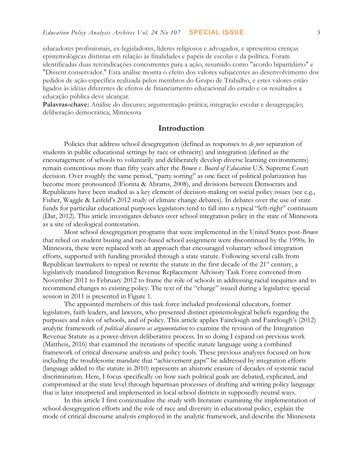educadores profissionais, ex-legisladores, líderes religiosos e advogados, e apresentou crenças epistemológicas distintas em relação às finalidades e papéis de escolas e da política. Foram identificadas duas reivindicações concorrentes para a ação, resumido como "acordo bipartidário" e "Dissent conservador." Esta análise mostra o efeito dos valores subjacentes ao desenvolvimento dos pedidos de ação específica realizada pelos membros do Grupo de Trabalho, e estes valores estão ligados às idéias diferentes de efeitos de financiamento educacional do estado e os resultados a educação pública deve alcançar.

**Palavras-chave:** Análise do discurso; argumentação prática; integração escolar e desagregação; deliberação democrática; Minnesota

## **Introduction**

Policies that address school desegregation (defined as responses to *de jure* separation of students in public educational settings by race or ethnicity) and integration (defined as the encouragement of schools to voluntarily and deliberately develop diverse learning environments) remain contentious more than fifty years after the *Brown v. Board of Education* U.S. Supreme Court decision. Over roughly the same period, "party sorting" as one facet of political polarization has become more pronounced (Fiorina & Abrams, 2008), and divisions between Democrats and Republicans have been studied as a key element of decision-making on social policy issues (see e.g., Fisher, Waggle & Leifeld's 2012 study of climate change debates). In debates over the use of state funds for particular educational purposes legislators tend to fall into a typical "left-right" continuum (Dar, 2012). This article investigates debates over school integration policy in the state of Minnesota as a site of ideological contestation.

Most school desegregation programs that were implemented in the United States post-*Brown* that relied on student busing and race-based school assignment were discontinued by the 1990s. In Minnesota, these were replaced with an approach that encouraged voluntary school integration efforts, supported with funding provided through a state statute. Following several calls from Republican lawmakers to repeal or rewrite the statute in the first decade of the  $21<sup>st</sup>$  century, a legislatively mandated Integration Revenue Replacement Advisory Task Force convened from November 2011 to February 2012 to frame the role of schools in addressing racial inequities and to recommend changes to existing policy. The text of the "charge" issued during a legislative special session in 2011 is presented in Figure 1.

The appointed members of this task force included professional educators, former legislators, faith leaders, and lawyers, who presented distinct epistemological beliefs regarding the purposes and roles of schools, and of policy. This article applies Fairclough and Fairclough's (2012) analytic framework of *political discourse as argumentation* to examine the revision of the Integration Revenue Statute as a power-driven deliberative process. In so doing I expand on previous work (Mattheis, 2016) that examined the iterations of specific statute language using a combined framework of critical discourse analysis and policy tools. These previous analyses focused on how including the troublesome mandate that "achievement gaps" be addressed by integration efforts (language added to the statute in 2010) represents an ahistoric erasure of decades of systemic racial discrimination. Here, I focus specifically on how such political goals are debated, explicated, and compromised at the state level through bipartisan processes of drafting and writing policy language that is later interpreted and implemented in local school districts in supposedly neutral ways.

In this article I first contextualize the study with literature examining the implementation of school desegregation efforts and the role of race and diversity in educational policy, explain the mode of critical discourse analysis employed in the analytic framework, and describe the Minnesota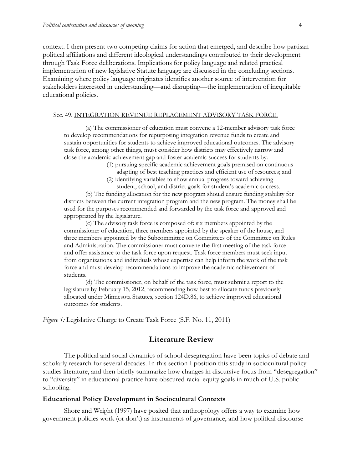context. I then present two competing claims for action that emerged, and describe how partisan political affiliations and different ideological understandings contributed to their development through Task Force deliberations. Implications for policy language and related practical implementation of new legislative Statute language are discussed in the concluding sections. Examining where policy language originates identifies another source of intervention for stakeholders interested in understanding—and disrupting—the implementation of inequitable educational policies.

#### Sec. 49. INTEGRATION REVENUE REPLACEMENT ADVISORY TASK FORCE.

(a) The commissioner of education must convene a 12-member advisory task force to develop recommendations for repurposing integration revenue funds to create and sustain opportunities for students to achieve improved educational outcomes. The advisory task force, among other things, must consider how districts may effectively narrow and close the academic achievement gap and foster academic success for students by:

- (1) pursuing specific academic achievement goals premised on continuous adapting of best teaching practices and efficient use of resources; and
- (2) identifying variables to show annual progress toward achieving student, school, and district goals for student's academic success.

(b) The funding allocation for the new program should ensure funding stability for districts between the current integration program and the new program. The money shall be used for the purposes recommended and forwarded by the task force and approved and appropriated by the legislature.

(c) The advisory task force is composed of: six members appointed by the commissioner of education, three members appointed by the speaker of the house, and three members appointed by the Subcommittee on Committees of the Committee on Rules and Administration. The commissioner must convene the first meeting of the task force and offer assistance to the task force upon request. Task force members must seek input from organizations and individuals whose expertise can help inform the work of the task force and must develop recommendations to improve the academic achievement of students.

(d) The commissioner, on behalf of the task force, must submit a report to the legislature by February 15, 2012, recommending how best to allocate funds previously allocated under Minnesota Statutes, section 124D.86, to achieve improved educational outcomes for students.

*Figure 1:* Legislative Charge to Create Task Force (S.F. No. 11, 2011)

## **Literature Review**

The political and social dynamics of school desegregation have been topics of debate and scholarly research for several decades. In this section I position this study in sociocultural policy studies literature, and then briefly summarize how changes in discursive focus from "desegregation" to "diversity" in educational practice have obscured racial equity goals in much of U.S. public schooling.

#### **Educational Policy Development in Sociocultural Contexts**

Shore and Wright (1997) have posited that anthropology offers a way to examine how government policies work (or don't) as instruments of governance, and how political discourse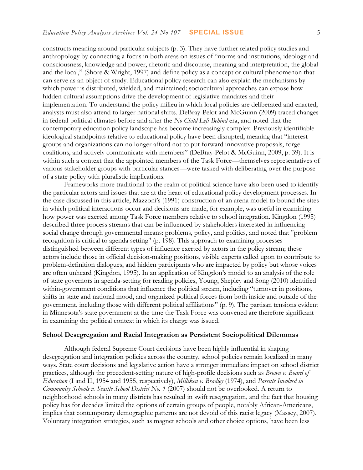constructs meaning around particular subjects (p. 3). They have further related policy studies and anthropology by connecting a focus in both areas on issues of "norms and institutions, ideology and consciousness, knowledge and power, rhetoric and discourse, meaning and interpretation, the global and the local," (Shore & Wright, 1997) and define policy as a concept or cultural phenomenon that can serve as an object of study. Educational policy research can also explain the mechanisms by which power is distributed, wielded, and maintained; sociocultural approaches can expose how hidden cultural assumptions drive the development of legislative mandates and their implementation. To understand the policy milieu in which local policies are deliberated and enacted, analysts must also attend to larger national shifts. DeBray-Pelot and McGuinn (2009) traced changes in federal political climates before and after the *No Child Left Behind* era, and noted that the contemporary education policy landscape has become increasingly complex. Previously identifiable ideological standpoints relative to educational policy have been disrupted, meaning that "interest groups and organizations can no longer afford not to put forward innovative proposals, forge coalitions, and actively communicate with members" (DeBray-Pelot & McGuinn, 2009, p. 39). It is within such a context that the appointed members of the Task Force—themselves representatives of various stakeholder groups with particular stances—were tasked with deliberating over the purpose of a state policy with pluralistic implications.

Frameworks more traditional to the realm of political science have also been used to identify the particular actors and issues that are at the heart of educational policy development processes. In the case discussed in this article, Mazzoni's (1991) construction of an arena model to bound the sites in which political interactions occur and decisions are made, for example, was useful in examining how power was exerted among Task Force members relative to school integration. Kingdon (1995) described three process streams that can be influenced by stakeholders interested in influencing social change through governmental means: problems, policy, and politics, and noted that "problem recognition is critical to agenda setting" (p. 198). This approach to examining processes distinguished between different types of influence exerted by actors in the policy stream; these actors include those in official decision-making positions, visible experts called upon to contribute to problem-definition dialogues, and hidden participants who are impacted by policy but whose voices are often unheard (Kingdon, 1995). In an application of Kingdon's model to an analysis of the role of state governors in agenda-setting for reading policies, Young, Shepley and Song (2010) identified within-government conditions that influence the political stream, including "turnover in positions, shifts in state and national mood, and organized political forces from both inside and outside of the government, including those with different political affiliations" (p. 9). The partisan tensions evident in Minnesota's state government at the time the Task Force was convened are therefore significant in examining the political context in which its charge was issued.

### **School Desegregation and Racial Integration as Persistent Sociopolitical Dilemmas**

Although federal Supreme Court decisions have been highly influential in shaping desegregation and integration policies across the country, school policies remain localized in many ways. State court decisions and legislative action have a stronger immediate impact on school district practices, although the precedent-setting nature of high-profile decisions such as *Brown v. Board of Education* (I and II, 1954 and 1955, respectively), *Milliken v. Bradley* (1974), and *Parents Involved in Community Schools v. Seattle School District No. 1* (2007) should not be overlooked. A return to neighborhood schools in many districts has resulted in swift resegregation, and the fact that housing policy has for decades limited the options of certain groups of people, notably African-Americans, implies that contemporary demographic patterns are not devoid of this racist legacy (Massey, 2007). Voluntary integration strategies, such as magnet schools and other choice options, have been less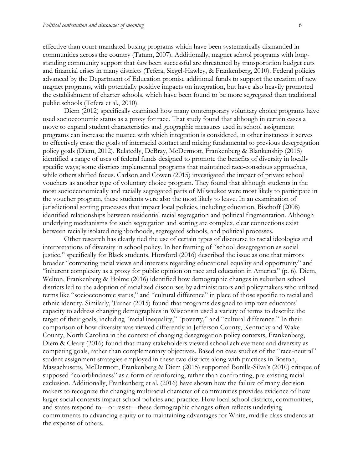effective than court-mandated busing programs which have been systematically dismantled in communities across the country (Tatum, 2007). Additionally, magnet school programs with longstanding community support that *have* been successful are threatened by transportation budget cuts and financial crises in many districts (Tefera, Siegel-Hawley, & Frankenberg, 2010). Federal policies advanced by the Department of Education promise additional funds to support the creation of new magnet programs, with potentially positive impacts on integration, but have also heavily promoted the establishment of charter schools, which have been found to be more segregated than traditional public schools (Tefera et al., 2010).

Diem (2012) specifically examined how many contemporary voluntary choice programs have used socioeconomic status as a proxy for race. That study found that although in certain cases a move to expand student characteristics and geographic measures used in school assignment programs can increase the nuance with which integration is considered, in other instances it serves to effectively erase the goals of interracial contact and mixing fundamental to previous desegregation policy goals (Diem, 2012). Relatedly, DeBray, McDermott, Frankenberg & Blankenship (2015) identified a range of uses of federal funds designed to promote the benefits of diversity in locally specific ways; some districts implemented programs that maintained race-conscious approaches, while others shifted focus. Carlson and Cowen (2015) investigated the impact of private school vouchers as another type of voluntary choice program. They found that although students in the most socioeconomically and racially segregated parts of Milwaukee were most likely to participate in the voucher program, these students were also the most likely to leave. In an examination of jurisdictional sorting processes that impact local policies, including education, Bischoff (2008) identified relationships between residential racial segregation and political fragmentation. Although underlying mechanisms for such segregation and sorting are complex, clear connections exist between racially isolated neighborhoods, segregated schools, and political processes.

Other research has clearly tied the use of certain types of discourse to racial ideologies and interpretations of diversity in school policy. In her framing of "school desegregation as social justice," specifically for Black students, Horsford (2016) described the issue as one that mirrors broader "competing racial views and interests regarding educational equality and opportunity" and "inherent complexity as a proxy for public opinion on race and education in America" (p. 6). Diem, Welton, Frankenberg & Holme (2016) identified how demographic changes in suburban school districts led to the adoption of racialized discourses by administrators and policymakers who utilized terms like "socioeconomic status," and "cultural difference" in place of those specific to racial and ethnic identity. Similarly, Turner (2015) found that programs designed to improve educators' capacity to address changing demographics in Wisconsin used a variety of terms to describe the target of their goals, including "racial inequality," "poverty," and "cultural difference." In their comparison of how diversity was viewed differently in Jefferson County, Kentucky and Wake County, North Carolina in the context of changing desegregation policy contexts, Frankenberg, Diem & Cleary (2016) found that many stakeholders viewed school achievement and diversity as competing goals, rather than complementary objectives. Based on case studies of the "race-neutral" student assignment strategies employed in these two districts along with practices in Boston, Massachusetts, McDermott, Frankenberg & Diem (2015) supported Bonilla-Silva's (2010) critique of supposed "colorblindness" as a form of reinforcing, rather than confronting, pre-existing racial exclusion. Additionally, Frankenberg et al. (2016) have shown how the failure of many decision makers to recognize the changing multiracial character of communities provides evidence of how larger social contexts impact school policies and practice. How local school districts, communities, and states respond to—or resist—these demographic changes often reflects underlying commitments to advancing equity or to maintaining advantages for White, middle class students at the expense of others.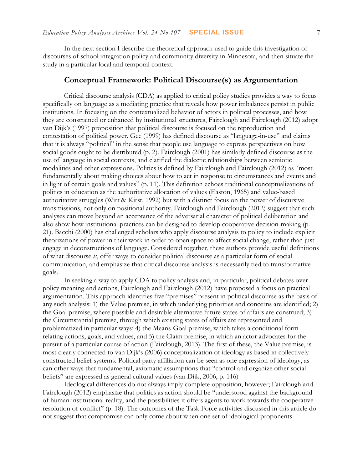In the next section I describe the theoretical approach used to guide this investigation of discourses of school integration policy and community diversity in Minnesota, and then situate the study in a particular local and temporal context.

## **Conceptual Framework: Political Discourse(s) as Argumentation**

Critical discourse analysis (CDA) as applied to critical policy studies provides a way to focus specifically on language as a mediating practice that reveals how power imbalances persist in public institutions. In focusing on the contextualized behavior of actors in political processes, and how they are constrained or enhanced by institutional structures, Fairclough and Fairclough (2012) adopt van Dijk's (1997) proposition that political discourse is focused on the reproduction and contestation of political power. Gee (1999) has defined discourse as "language-in-use" and claims that it is always "political" in the sense that people use language to express perspectives on how social goods ought to be distributed (p. 2). Fairclough (2001) has similarly defined discourse as the use of language in social contexts, and clarified the dialectic relationships between semiotic modalities and other expressions. Politics is defined by Fairclough and Fairclough (2012) as "most fundamentally about making choices about how to act in response to circumstances and events and in light of certain goals and values" (p. 11). This definition echoes traditional conceptualizations of politics in education as the authoritative allocation of values (Easton, 1965) and value-based authoritative struggles (Wirt & Kirst, 1992) but with a distinct focus on the power of discursive transmissions, not only on positional authority. Fairclough and Fairclough (2012) suggest that such analyses can move beyond an acceptance of the adversarial character of political deliberation and also show how institutional practices can be designed to develop cooperative decision-making (p. 21). Bacchi (2000) has challenged scholars who apply discourse analysis to policy to include explicit theorizations of power in their work in order to open space to affect social change, rather than just engage in deconstructions of language. Considered together, these authors provide useful definitions of what discourse *is*, offer ways to consider political discourse as a particular form of social communication, and emphasize that critical discourse analysis is necessarily tied to transformative goals.

In seeking a way to apply CDA to policy analysis and, in particular, political debates over policy meaning and actions, Fairclough and Fairclough (2012) have proposed a focus on practical argumentation. This approach identifies five "premises" present in political discourse as the basis of any such analysis: 1) the Value premise, in which underlying priorities and concerns are identified; 2) the Goal premise, where possible and desirable alternative future states of affairs are construed; 3) the Circumstantial premise, through which existing states of affairs are represented and problematized in particular ways; 4) the Means-Goal premise, which takes a conditional form relating actions, goals, and values, and 5) the Claim premise, in which an actor advocates for the pursuit of a particular course of action (Fairclough, 2013). The first of these, the Value premise, is most clearly connected to van Dijk's (2006) conceptualization of ideology as based in collectively constructed belief systems. Political party affiliation can be seen as one expression of ideology, as can other ways that fundamental, axiomatic assumptions that "control and organize other social beliefs" are expressed as general cultural values (van Dijk, 2006, p. 116)

Ideological differences do not always imply complete opposition, however; Fairclough and Fairclough (2012) emphasize that politics as action should be "understood against the background of human institutional reality, and the possibilities it offers agents to work towards the cooperative resolution of conflict" (p. 18). The outcomes of the Task Force activities discussed in this article do not suggest that compromise can only come about when one set of ideological proponents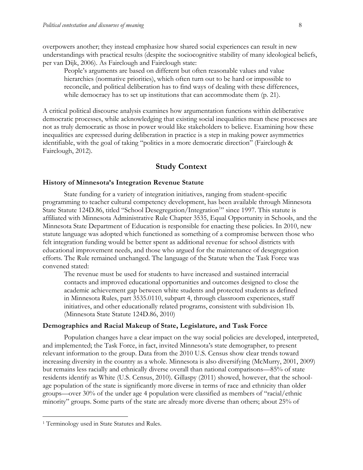overpowers another; they instead emphasize how shared social experiences can result in new understandings with practical results (despite the sociocognitive stability of many ideological beliefs, per van Dijk, 2006). As Fairclough and Fairclough state:

People's arguments are based on different but often reasonable values and value hierarchies (normative priorities), which often turn out to be hard or impossible to reconcile, and political deliberation has to find ways of dealing with these differences, while democracy has to set up institutions that can accommodate them  $(p. 21)$ .

A critical political discourse analysis examines how argumentation functions within deliberative democratic processes, while acknowledging that existing social inequalities mean these processes are not as truly democratic as those in power would like stakeholders to believe. Examining how these inequalities are expressed during deliberation in practice is a step in making power asymmetries identifiable, with the goal of taking "politics in a more democratic direction" (Fairclough & Fairclough, 2012).

# **Study Context**

## **History of Minnesota's Integration Revenue Statute**

State funding for a variety of integration initiatives, ranging from student-specific programming to teacher cultural competency development, has been available through Minnesota State Statute 124D.86, titled "School Desegregation/Integration<sup>1</sup>" since 1997. This statute is affiliated with Minnesota Administrative Rule Chapter 3535, Equal Opportunity in Schools, and the Minnesota State Department of Education is responsible for enacting these policies. In 2010, new statute language was adopted which functioned as something of a compromise between those who felt integration funding would be better spent as additional revenue for school districts with educational improvement needs, and those who argued for the maintenance of desegregation efforts. The Rule remained unchanged. The language of the Statute when the Task Force was convened stated:

The revenue must be used for students to have increased and sustained interracial contacts and improved educational opportunities and outcomes designed to close the academic achievement gap between white students and protected students as defined in Minnesota Rules, part 3535.0110, subpart 4, through classroom experiences, staff initiatives, and other educationally related programs, consistent with subdivision 1b. (Minnesota State Statute 124D.86, 2010)

#### **Demographics and Racial Makeup of State, Legislature, and Task Force**

Population changes have a clear impact on the way social policies are developed, interpreted, and implemented; the Task Force, in fact, invited Minnesota's state demographer, to present relevant information to the group. Data from the 2010 U.S. Census show clear trends toward increasing diversity in the country as a whole. Minnesota is also diversifying (McMurry, 2001, 2009) but remains less racially and ethnically diverse overall than national comparisons—85% of state residents identify as White (U.S. Census, 2010). Gillaspy (2011) showed, however, that the schoolage population of the state is significantly more diverse in terms of race and ethnicity than older groups—over 30% of the under age 4 population were classified as members of "racial/ethnic minority" groups. Some parts of the state are already more diverse than others; about 25% of

 $\overline{a}$ 

<sup>&</sup>lt;sup>1</sup> Terminology used in State Statutes and Rules.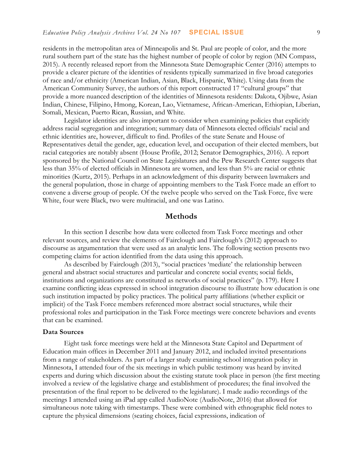residents in the metropolitan area of Minneapolis and St. Paul are people of color, and the more rural southern part of the state has the highest number of people of color by region (MN Compass, 2015). A recently released report from the Minnesota State Demographic Center (2016) attempts to provide a clearer picture of the identities of residents typically summarized in five broad categories of race and/or ethnicity (American Indian, Asian, Black, Hispanic, White). Using data from the American Community Survey, the authors of this report constructed 17 "cultural groups" that provide a more nuanced description of the identities of Minnesota residents: Dakota, Ojibwe, Asian Indian, Chinese, Filipino, Hmong, Korean, Lao, Vietnamese, African-American, Ethiopian, Liberian, Somali, Mexican, Puerto Rican, Russian, and White.

Legislator identities are also important to consider when examining policies that explicitly address racial segregation and integration; summary data of Minnesota elected officials' racial and ethnic identities are, however, difficult to find. Profiles of the state Senate and House of Representatives detail the gender, age, education level, and occupation of their elected members, but racial categories are notably absent (House Profile, 2012; Senator Demographics, 2016). A report sponsored by the National Council on State Legislatures and the Pew Research Center suggests that less than 35% of elected officials in Minnesota are women, and less than 5% are racial or ethnic minorities (Kurtz, 2015). Perhaps in an acknowledgment of this disparity between lawmakers and the general population, those in charge of appointing members to the Task Force made an effort to convene a diverse group of people. Of the twelve people who served on the Task Force, five were White, four were Black, two were multiracial, and one was Latino.

## **Methods**

In this section I describe how data were collected from Task Force meetings and other relevant sources, and review the elements of Fairclough and Fairclough's (2012) approach to discourse as argumentation that were used as an analytic lens. The following section presents two competing claims for action identified from the data using this approach.

As described by Fairclough (2013), "social practices 'mediate' the relationship between general and abstract social structures and particular and concrete social events; social fields, institutions and organizations are constituted as networks of social practices" (p. 179). Here I examine conflicting ideas expressed in school integration discourse to illustrate how education is one such institution impacted by policy practices. The political party affiliations (whether explicit or implicit) of the Task Force members referenced more abstract social structures, while their professional roles and participation in the Task Force meetings were concrete behaviors and events that can be examined.

## **Data Sources**

Eight task force meetings were held at the Minnesota State Capitol and Department of Education main offices in December 2011 and January 2012, and included invited presentations from a range of stakeholders. As part of a larger study examining school integration policy in Minnesota, I attended four of the six meetings in which public testimony was heard by invited experts and during which discussion about the existing statute took place in person (the first meeting involved a review of the legislative charge and establishment of procedures; the final involved the presentation of the final report to be delivered to the legislature). I made audio recordings of the meetings I attended using an iPad app called AudioNote (AudioNote, 2016) that allowed for simultaneous note taking with timestamps. These were combined with ethnographic field notes to capture the physical dimensions (seating choices, facial expressions, indication of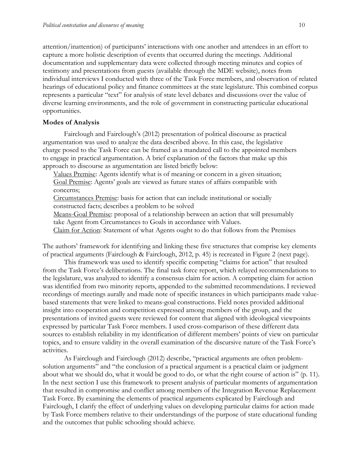attention/inattention) of participants' interactions with one another and attendees in an effort to capture a more holistic description of events that occurred during the meetings. Additional documentation and supplementary data were collected through meeting minutes and copies of testimony and presentations from guests (available through the MDE website), notes from individual interviews I conducted with three of the Task Force members, and observation of related hearings of educational policy and finance committees at the state legislature. This combined corpus represents a particular "text" for analysis of state level debates and discussions over the value of diverse learning environments, and the role of government in constructing particular educational opportunities.

#### **Modes of Analysis**

Fairclough and Fairclough's (2012) presentation of political discourse as practical argumentation was used to analyze the data described above. In this case, the legislative charge posed to the Task Force can be framed as a mandated call to the appointed members to engage in practical argumentation. A brief explanation of the factors that make up this approach to discourse as argumentation are listed briefly below:

Values Premise: Agents identify what is of meaning or concern in a given situation; Goal Premise: Agents' goals are viewed as future states of affairs compatible with concerns;

Circumstances Premise: basis for action that can include institutional or socially constructed facts; describes a problem to be solved

Means-Goal Premise: proposal of a relationship between an action that will presumably take Agent from Circumstances to Goals in accordance with Values.

Claim for Action: Statement of what Agents ought to do that follows from the Premises

The authors' framework for identifying and linking these five structures that comprise key elements of practical arguments (Fairclough & Fairclough, 2012, p. 45) is recreated in Figure 2 (next page).

This framework was used to identify specific competing "claims for action" that resulted from the Task Force's deliberations. The final task force report, which relayed recommendations to the legislature, was analyzed to identify a consensus claim for action. A competing claim for action was identified from two minority reports, appended to the submitted recommendations. I reviewed recordings of meetings aurally and made note of specific instances in which participants made valuebased statements that were linked to means-goal constructions. Field notes provided additional insight into cooperation and competition expressed among members of the group, and the presentations of invited guests were reviewed for content that aligned with ideological viewpoints expressed by particular Task Force members. I used cross-comparison of these different data sources to establish reliability in my identification of different members' points of view on particular topics, and to ensure validity in the overall examination of the discursive nature of the Task Force's activities.

As Fairclough and Fairclough (2012) describe, "practical arguments are often problemsolution arguments" and "the conclusion of a practical argument is a practical claim or judgment about what we should do, what it would be good to do, or what the right course of action is" (p. 11). In the next section I use this framework to present analysis of particular moments of argumentation that resulted in compromise and conflict among members of the Integration Revenue Replacement Task Force. By examining the elements of practical arguments explicated by Fairclough and Fairclough, I clarify the effect of underlying values on developing particular claims for action made by Task Force members relative to their understandings of the purpose of state educational funding and the outcomes that public schooling should achieve.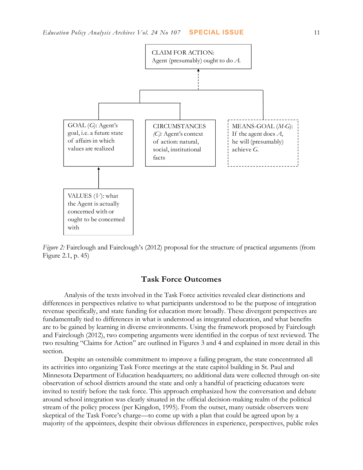

*Figure 2:* Fairclough and Fairclough's (2012) proposal for the structure of practical arguments (from Figure 2.1, p. 45)

# **Task Force Outcomes**

Analysis of the texts involved in the Task Force activities revealed clear distinctions and differences in perspectives relative to what participants understood to be the purpose of integration revenue specifically, and state funding for education more broadly. These divergent perspectives are fundamentally tied to differences in what is understood as integrated education, and what benefits are to be gained by learning in diverse environments. Using the framework proposed by Fairclough and Fairclough (2012), two competing arguments were identified in the corpus of text reviewed. The two resulting "Claims for Action" are outlined in Figures 3 and 4 and explained in more detail in this section.

Despite an ostensible commitment to improve a failing program, the state concentrated all its activities into organizing Task Force meetings at the state capitol building in St. Paul and Minnesota Department of Education headquarters; no additional data were collected through on-site observation of school districts around the state and only a handful of practicing educators were invited to testify before the task force. This approach emphasized how the conversation and debate around school integration was clearly situated in the official decision-making realm of the political stream of the policy process (per Kingdon, 1995). From the outset, many outside observers were skeptical of the Task Force's charge—to come up with a plan that could be agreed upon by a majority of the appointees, despite their obvious differences in experience, perspectives, public roles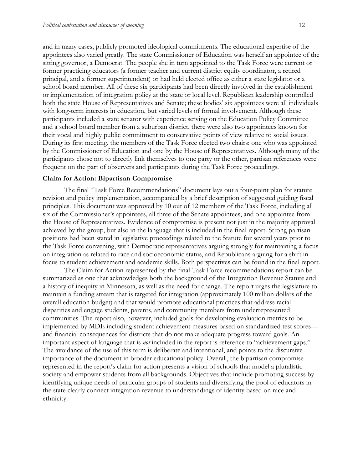and in many cases, publicly promoted ideological commitments. The educational expertise of the appointees also varied greatly. The state Commissioner of Education was herself an appointee of the sitting governor, a Democrat. The people she in turn appointed to the Task Force were current or former practicing educators (a former teacher and current district equity coordinator, a retired principal, and a former superintendent) or had held elected office as either a state legislator or a school board member. All of these six participants had been directly involved in the establishment or implementation of integration policy at the state or local level. Republican leadership controlled both the state House of Representatives and Senate; these bodies' six appointees were all individuals with long-term interests in education, but varied levels of formal involvement. Although these participants included a state senator with experience serving on the Education Policy Committee and a school board member from a suburban district, there were also two appointees known for their vocal and highly public commitment to conservative points of view relative to social issues. During its first meeting, the members of the Task Force elected two chairs: one who was appointed by the Commissioner of Education and one by the House of Representatives. Although many of the participants chose not to directly link themselves to one party or the other, partisan references were frequent on the part of observers and participants during the Task Force proceedings.

#### **Claim for Action: Bipartisan Compromise**

The final "Task Force Recommendations" document lays out a four-point plan for statute revision and policy implementation, accompanied by a brief description of suggested guiding fiscal principles. This document was approved by 10 out of 12 members of the Task Force, including all six of the Commissioner's appointees, all three of the Senate appointees, and one appointee from the House of Representatives. Evidence of compromise is present not just in the majority approval achieved by the group, but also in the language that is included in the final report. Strong partisan positions had been stated in legislative proceedings related to the Statute for several years prior to the Task Force convening, with Democratic representatives arguing strongly for maintaining a focus on integration as related to race and socioeconomic status, and Republicans arguing for a shift in focus to student achievement and academic skills. Both perspectives can be found in the final report.

The Claim for Action represented by the final Task Force recommendations report can be summarized as one that acknowledges both the background of the Integration Revenue Statute and a history of inequity in Minnesota, as well as the need for change. The report urges the legislature to maintain a funding stream that is targeted for integration (approximately 100 million dollars of the overall education budget) and that would promote educational practices that address racial disparities and engage students, parents, and community members from underrepresented communities. The report also, however, included goals for developing evaluation metrics to be implemented by MDE including student achievement measures based on standardized test scores and financial consequences for districts that do not make adequate progress toward goals. An important aspect of language that is *not* included in the report is reference to "achievement gaps." The avoidance of the use of this term is deliberate and intentional, and points to the discursive importance of the document in broader educational policy. Overall, the bipartisan compromise represented in the report's claim for action presents a vision of schools that model a pluralistic society and empower students from all backgrounds. Objectives that include promoting success by identifying unique needs of particular groups of students and diversifying the pool of educators in the state clearly connect integration revenue to understandings of identity based on race and ethnicity.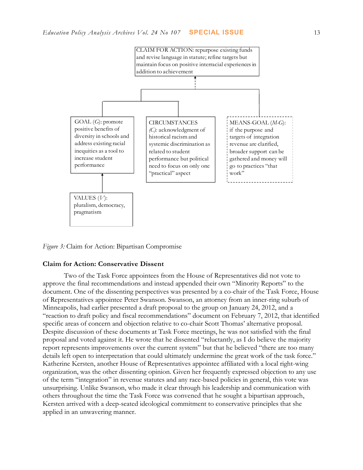

*Figure 3:* Claim for Action: Bipartisan Compromise

## **Claim for Action: Conservative Dissent**

Two of the Task Force appointees from the House of Representatives did not vote to approve the final recommendations and instead appended their own "Minority Reports" to the document. One of the dissenting perspectives was presented by a co-chair of the Task Force, House of Representatives appointee Peter Swanson. Swanson, an attorney from an inner-ring suburb of Minneapolis, had earlier presented a draft proposal to the group on January 24, 2012, and a "reaction to draft policy and fiscal recommendations" document on February 7, 2012, that identified specific areas of concern and objection relative to co-chair Scott Thomas' alternative proposal. Despite discussion of these documents at Task Force meetings, he was not satisfied with the final proposal and voted against it. He wrote that he dissented "reluctantly, as I do believe the majority report represents improvements over the current system" but that he believed "there are too many details left open to interpretation that could ultimately undermine the great work of the task force." Katherine Kersten, another House of Representatives appointee affiliated with a local right-wing organization, was the other dissenting opinion. Given her frequently expressed objection to any use of the term "integration" in revenue statutes and any race-based policies in general, this vote was unsurprising. Unlike Swanson, who made it clear through his leadership and communication with others throughout the time the Task Force was convened that he sought a bipartisan approach, Kersten arrived with a deep-seated ideological commitment to conservative principles that she applied in an unwavering manner.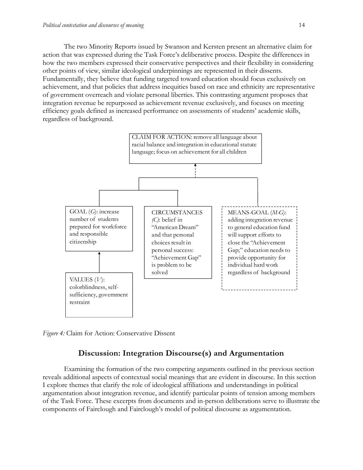The two Minority Reports issued by Swanson and Kersten present an alternative claim for action that was expressed during the Task Force's deliberative process. Despite the differences in how the two members expressed their conservative perspectives and their flexibility in considering other points of view, similar ideological underpinnings are represented in their dissents. Fundamentally, they believe that funding targeted toward education should focus exclusively on achievement, and that policies that address inequities based on race and ethnicity are representative of government overreach and violate personal liberties. This contrasting argument proposes that integration revenue be repurposed as achievement revenue exclusively, and focuses on meeting efficiency goals defined as increased performance on assessments of students' academic skills, regardless of background.



*Figure 4:* Claim for Action: Conservative Dissent

# **Discussion: Integration Discourse(s) and Argumentation**

Examining the formation of the two competing arguments outlined in the previous section reveals additional aspects of contextual social meanings that are evident in discourse. In this section I explore themes that clarify the role of ideological affiliations and understandings in political argumentation about integration revenue, and identify particular points of tension among members of the Task Force. These excerpts from documents and in-person deliberations serve to illustrate the components of Fairclough and Fairclough's model of political discourse as argumentation.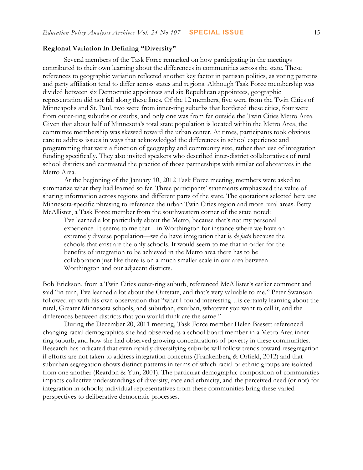#### **Regional Variation in Defining "D**i**versity"**

Several members of the Task Force remarked on how participating in the meetings contributed to their own learning about the differences in communities across the state. These references to geographic variation reflected another key factor in partisan politics, as voting patterns and party affiliation tend to differ across states and regions. Although Task Force membership was divided between six Democratic appointees and six Republican appointees, geographic representation did not fall along these lines. Of the 12 members, five were from the Twin Cities of Minneapolis and St. Paul, two were from inner-ring suburbs that bordered these cities, four were from outer-ring suburbs or exurbs, and only one was from far outside the Twin Cities Metro Area. Given that about half of Minnesota's total state population is located within the Metro Area, the committee membership was skewed toward the urban center. At times, participants took obvious care to address issues in ways that acknowledged the differences in school experience and programming that were a function of geography and community size, rather than use of integration funding specifically. They also invited speakers who described inter-district collaboratives of rural school districts and contrasted the practice of those partnerships with similar collaboratives in the Metro Area.

At the beginning of the January 10, 2012 Task Force meeting, members were asked to summarize what they had learned so far. Three participants' statements emphasized the value of sharing information across regions and different parts of the state. The quotations selected here use Minnesota-specific phrasing to reference the urban Twin Cities region and more rural areas. Betty McAllister, a Task Force member from the southwestern corner of the state noted:

I've learned a lot particularly about the Metro, because that's not my personal experience. It seems to me that—in Worthington for instance where we have an extremely diverse population—we do have integration that is *de facto* because the schools that exist are the only schools. It would seem to me that in order for the benefits of integration to be achieved in the Metro area there has to be collaboration just like there is on a much smaller scale in our area between Worthington and our adjacent districts.

Bob Erickson, from a Twin Cities outer-ring suburb, referenced McAllister's earlier comment and said "in turn, I've learned a lot about the Outstate, and that's very valuable to me." Peter Swanson followed up with his own observation that "what I found interesting…is certainly learning about the rural, Greater Minnesota schools, and suburban, exurban, whatever you want to call it, and the differences between districts that you would think are the same."

During the December 20, 2011 meeting, Task Force member Helen Bassett referenced changing racial demographics she had observed as a school board member in a Metro Area innerring suburb, and how she had observed growing concentrations of poverty in these communities. Research has indicated that even rapidly diversifying suburbs will follow trends toward resegregation if efforts are not taken to address integration concerns (Frankenberg & Orfield, 2012) and that suburban segregation shows distinct patterns in terms of which racial or ethnic groups are isolated from one another (Reardon & Yun, 2001). The particular demographic composition of communities impacts collective understandings of diversity, race and ethnicity, and the perceived need (or not) for integration in schools; individual representatives from these communities bring these varied perspectives to deliberative democratic processes.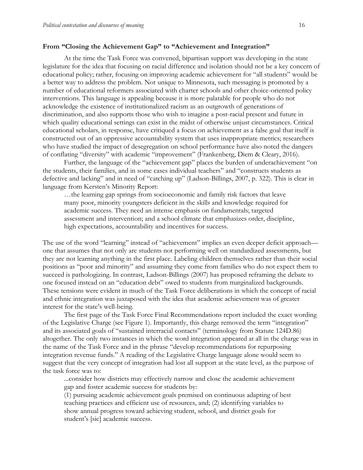## **From "Closing the Achievement Gap" to "Achievement and Integration"**

At the time the Task Force was convened, bipartisan support was developing in the state legislature for the idea that focusing on racial difference and isolation should not be a key concern of educational policy; rather, focusing on improving academic achievement for "all students" would be a better way to address the problem. Not unique to Minnesota, such messaging is promoted by a number of educational reformers associated with charter schools and other choice-oriented policy interventions. This language is appealing because it is more palatable for people who do not acknowledge the existence of institutionalized racism as an outgrowth of generations of discrimination, and also supports those who wish to imagine a post-racial present and future in which quality educational settings can exist in the midst of otherwise unjust circumstances. Critical educational scholars, in response, have critiqued a focus on achievement as a false goal that itself is constructed out of an oppressive accountability system that uses inappropriate metrics; researchers who have studied the impact of desegregation on school performance have also noted the dangers of conflating "diversity" with academic "improvement" (Frankenberg, Diem & Cleary, 2016).

Further, the language of the "achievement gap" places the burden of underachievement "on the students, their families, and in some cases individual teachers" and "constructs students as defective and lacking" and in need of "catching up" (Ladson-Billings, 2007, p. 322). This is clear in language from Kersten's Minority Report:

…the learning gap springs from socioeconomic and family risk factors that leave many poor, minority youngsters deficient in the skills and knowledge required for academic success. They need an intense emphasis on fundamentals; targeted assessment and intervention; and a school climate that emphasizes order, discipline, high expectations, accountability and incentives for success.

The use of the word "learning" instead of "achievement" implies an even deeper deficit approach one that assumes that not only are students not performing well on standardized assessments, but they are not learning anything in the first place. Labeling children themselves rather than their social positions as "poor and minority" and assuming they come from families who do not expect them to succeed is pathologizing. In contrast, Ladson-Billings (2007) has proposed reframing the debate to one focused instead on an "education debt" owed to students from marginalized backgrounds. These tensions were evident in much of the Task Force deliberations in which the concept of racial and ethnic integration was juxtaposed with the idea that academic achievement was of greater interest for the state's well-being.

The first page of the Task Force Final Recommendations report included the exact wording of the Legislative Charge (see Figure 1). Importantly, this charge removed the term "integration" and its associated goals of "sustained interracial contacts" (terminology from Statute 124D.86) altogether. The only two instances in which the word integration appeared at all in the charge was in the name of the Task Force and in the phrase "develop recommendations for repurposing integration revenue funds." A reading of the Legislative Charge language alone would seem to suggest that the very concept of integration had lost all support at the state level, as the purpose of the task force was to:

...consider how districts may effectively narrow and close the academic achievement gap and foster academic success for students by:

(1) pursuing academic achievement goals premised on continuous adapting of best teaching practices and efficient use of resources, and; (2) identifying variables to show annual progress toward achieving student, school, and district goals for student's [sic] academic success.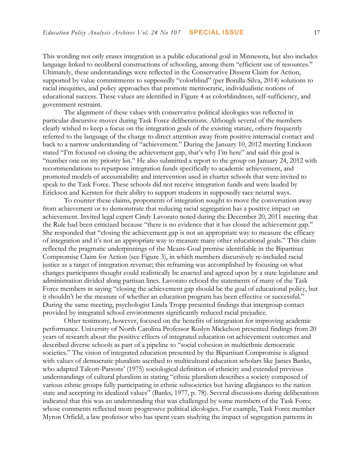This wording not only erases integration as a public educational goal in Minnesota, but also includes language linked to neoliberal constructions of schooling, among them "efficient use of resources." Ultimately, these understandings were reflected in the Conservative Dissent Claim for Action, supported by value commitments to supposedly "colorblind" (per Bonilla-Silva, 2014) solutions to racial inequities, and policy approaches that promote meritocratic, individualistic notions of educational success. These values are identified in Figure 4 as colorblindness, self-sufficiency, and government restraint.

The alignment of these values with conservative political ideologies was reflected in particular discursive moves during Task Force deliberations. Although several of the members clearly wished to keep a focus on the integration goals of the existing statute, others frequently referred to the language of the charge to direct attention away from positive interracial contact and back to a narrow understanding of "achievement." During the January 10, 2012 meeting Erickson stated "I'm focused on closing the achievement gap, that's why I'm here" and said this goal is "number one on my priority list." He also submitted a report to the group on January 24, 2012 with recommendations to repurpose integration funds specifically to academic achievement, and promoted models of accountability and intervention used in charter schools that were invited to speak to the Task Force. These schools did not receive integration funds and were lauded by Erickson and Kersten for their ability to support students in supposedly race neutral ways.

To counter these claims, proponents of integration sought to move the conversation away from achievement or to demonstrate that reducing racial segregation has a positive impact on achievement. Invited legal expert Cindy Lavorato noted during the December 20, 2011 meeting that the Rule had been criticized because "there is no evidence that it has closed the achievement gap." She responded that "closing the achievement gap is not an appropriate way to measure the efficacy of integration and it's not an appropriate way to measure many other educational goals." This claim reflected the pragmatic underpinnings of the Means-Goal premise identifiable in the Bipartisan Compromise Claim for Action (see Figure 3), in which members discursively re-included racial justice as a target of integration revenue; this reframing was accomplished by focusing on what changes participants thought could realistically be enacted and agreed upon by a state legislature and administration divided along partisan lines. Lavorato echoed the statements of many of the Task Force members in saying "closing the achievement gap should be the goal of educational policy, but it shouldn't be the measure of whether an education program has been effective or successful." During the same meeting, psychologist Linda Tropp presented findings that intergroup contact provided by integrated school environments significantly reduced racial prejudice.

Other testimony, however, focused on the benefits of integration for improving academic performance. University of North Carolina Professor Roslyn Mickelson presented findings from 20 years of research about the positive effects of integrated education on achievement outcomes and described diverse schools as part of a pipeline to "social cohesion in multiethnic democratic societies." The vision of integrated education presented by the Bipartisan Compromise is aligned with values of democratic pluralism ascribed to multicultural education scholars like James Banks, who adapted Talcott-Parsons' (1975) sociological definition of ethnicity and extended previous understandings of cultural pluralism in stating "ethnic pluralism describes a society composed of various ethnic groups fully participating in ethnic subsocieties but having allegiances to the nation state and accepting its idealized values" (Banks, 1977, p. 78). Several discussions during deliberations indicated that this was an understanding that was challenged by some members of the Task Force whose comments reflected more progressive political ideologies. For example, Task Force member Myron Orfield, a law professor who has spent years studying the impact of segregation patterns in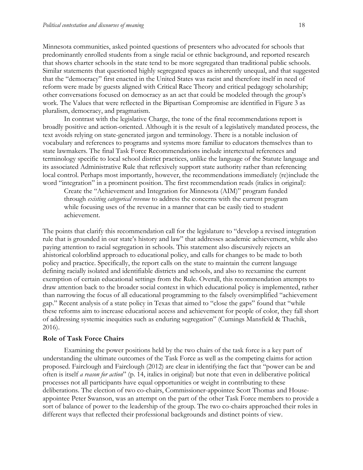Minnesota communities, asked pointed questions of presenters who advocated for schools that predominantly enrolled students from a single racial or ethnic background, and reported research that shows charter schools in the state tend to be more segregated than traditional public schools. Similar statements that questioned highly segregated spaces as inherently unequal, and that suggested that the "democracy" first enacted in the United States was racist and therefore itself in need of reform were made by guests aligned with Critical Race Theory and critical pedagogy scholarship; other conversations focused on democracy as an act that could be modeled through the group's work. The Values that were reflected in the Bipartisan Compromise are identified in Figure 3 as pluralism, democracy, and pragmatism.

In contrast with the legislative Charge, the tone of the final recommendations report is broadly positive and action-oriented. Although it is the result of a legislatively mandated process, the text avoids relying on state-generated jargon and terminology. There is a notable inclusion of vocabulary and references to programs and systems more familiar to educators themselves than to state lawmakers. The final Task Force Recommendations include intertextual references and terminology specific to local school district practices, unlike the language of the Statute language and its associated Administrative Rule that reflexively support state authority rather than referencing local control. Perhaps most importantly, however, the recommendations immediately (re)include the word "integration" in a prominent position. The first recommendation reads (italics in original):

Create the "Achievement and Integration for Minnesota (AIM)" program funded through *existing categorical revenue* to address the concerns with the current program while focusing uses of the revenue in a manner that can be easily tied to student achievement.

The points that clarify this recommendation call for the legislature to "develop a revised integration rule that is grounded in our state's history and law" that addresses academic achievement, while also paying attention to racial segregation in schools. This statement also discursively rejects an ahistorical colorblind approach to educational policy, and calls for changes to be made to both policy and practice. Specifically, the report calls on the state to maintain the current language defining racially isolated and identifiable districts and schools, and also to reexamine the current exemption of certain educational settings from the Rule. Overall, this recommendation attempts to draw attention back to the broader social context in which educational policy is implemented, rather than narrowing the focus of all educational programming to the falsely oversimplified "achievement gap." Recent analysis of a state policy in Texas that aimed to "close the gaps" found that "while these reforms aim to increase educational access and achievement for people of color, they fall short of addressing systemic inequities such as enduring segregation" (Cumings Mansfield & Thachik, 2016).

#### **Role of Task Force Chairs**

Examining the power positions held by the two chairs of the task force is a key part of understanding the ultimate outcomes of the Task Force as well as the competing claims for action proposed. Fairclough and Fairclough (2012) are clear in identifying the fact that "power can be and often is itself *a reason for action*" (p. 14, italics in original) but note that even in deliberative political processes not all participants have equal opportunities or weight in contributing to these deliberations. The election of two co-chairs, Commissioner-appointee Scott Thomas and Houseappointee Peter Swanson, was an attempt on the part of the other Task Force members to provide a sort of balance of power to the leadership of the group. The two co-chairs approached their roles in different ways that reflected their professional backgrounds and distinct points of view.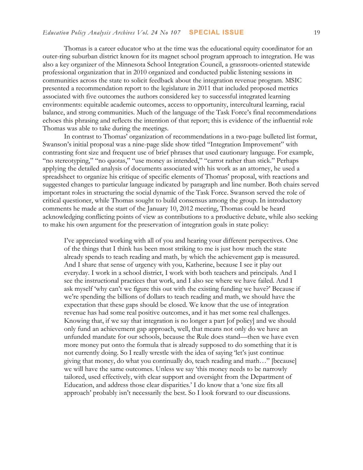Thomas is a career educator who at the time was the educational equity coordinator for an outer-ring suburban district known for its magnet school program approach to integration. He was also a key organizer of the Minnesota School Integration Council, a grassroots-oriented statewide professional organization that in 2010 organized and conducted public listening sessions in communities across the state to solicit feedback about the integration revenue program. MSIC presented a recommendation report to the legislature in 2011 that included proposed metrics associated with five outcomes the authors considered key to successful integrated learning environments: equitable academic outcomes, access to opportunity, intercultural learning, racial balance, and strong communities. Much of the language of the Task Force's final recommendations echoes this phrasing and reflects the intention of that report; this is evidence of the influential role Thomas was able to take during the meetings.

In contrast to Thomas' organization of recommendations in a two-page bulleted list format, Swanson's initial proposal was a nine-page slide show titled "Integration Improvement" with contrasting font size and frequent use of brief phrases that used cautionary language. For example, "no stereotyping," "no quotas," "use money as intended," "carrot rather than stick." Perhaps applying the detailed analysis of documents associated with his work as an attorney, he used a spreadsheet to organize his critique of specific elements of Thomas' proposal, with reactions and suggested changes to particular language indicated by paragraph and line number. Both chairs served important roles in structuring the social dynamic of the Task Force. Swanson served the role of critical questioner, while Thomas sought to build consensus among the group. In introductory comments he made at the start of the January 10, 2012 meeting, Thomas could be heard acknowledging conflicting points of view as contributions to a productive debate, while also seeking to make his own argument for the preservation of integration goals in state policy:

I've appreciated working with all of you and hearing your different perspectives. One of the things that I think has been most striking to me is just how much the state already spends to teach reading and math, by which the achievement gap is measured. And I share that sense of urgency with you, Katherine, because I see it play out everyday. I work in a school district, I work with both teachers and principals. And I see the instructional practices that work, and I also see where we have failed. And I ask myself 'why can't we figure this out with the existing funding we have?' Because if we're spending the billions of dollars to teach reading and math, we should have the expectation that these gaps should be closed. We know that the use of integration revenue has had some real positive outcomes, and it has met some real challenges. Knowing that, if we say that integration is no longer a part [of policy] and we should only fund an achievement gap approach, well, that means not only do we have an unfunded mandate for our schools, because the Rule does stand—then we have even more money put onto the formula that is already supposed to do something that it is not currently doing. So I really wrestle with the idea of saying 'let's just continue giving that money, do what you continually do, teach reading and math…" [because] we will have the same outcomes. Unless we say 'this money needs to be narrowly tailored, used effectively, with clear support and oversight from the Department of Education, and address those clear disparities.' I do know that a 'one size fits all approach' probably isn't necessarily the best. So I look forward to our discussions.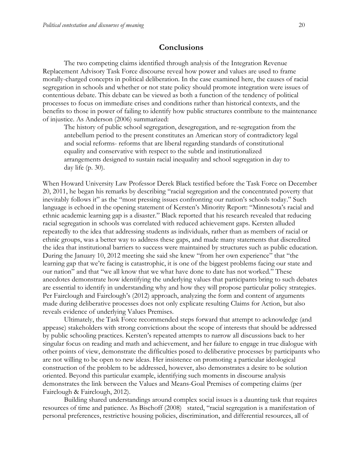# **Conclusions**

The two competing claims identified through analysis of the Integration Revenue Replacement Advisory Task Force discourse reveal how power and values are used to frame morally-charged concepts in political deliberation. In the case examined here, the causes of racial segregation in schools and whether or not state policy should promote integration were issues of contentious debate. This debate can be viewed as both a function of the tendency of political processes to focus on immediate crises and conditions rather than historical contexts, and the benefits to those in power of failing to identify how public structures contribute to the maintenance of injustice. As Anderson (2006) summarized:

The history of public school segregation, desegregation, and re-segregation from the antebellum period to the present constitutes an American story of contradictory legal and social reforms- reforms that are liberal regarding standards of constitutional equality and conservative with respect to the subtle and institutionalized arrangements designed to sustain racial inequality and school segregation in day to day life (p. 30).

When Howard University Law Professor Derek Black testified before the Task Force on December 20, 2011, he began his remarks by describing "racial segregation and the concentrated poverty that inevitably follows it" as the "most pressing issues confronting our nation's schools today." Such language is echoed in the opening statement of Kersten's Minority Report: "Minnesota's racial and ethnic academic learning gap is a disaster." Black reported that his research revealed that reducing racial segregation in schools was correlated with reduced achievement gaps. Kersten alluded repeatedly to the idea that addressing students as individuals, rather than as members of racial or ethnic groups, was a better way to address these gaps, and made many statements that discredited the idea that institutional barriers to success were maintained by structures such as public education. During the January 10, 2012 meeting she said she knew "from her own experience" that "the learning gap that we're facing is catastrophic, it is one of the biggest problems facing our state and our nation" and that "we all know that we what have done to date has not worked." These anecdotes demonstrate how identifying the underlying values that participants bring to such debates are essential to identify in understanding why and how they will propose particular policy strategies. Per Fairclough and Fairclough's (2012) approach, analyzing the form and content of arguments made during deliberative processes does not only explicate resulting Claims for Action, but also reveals evidence of underlying Values Premises.

Ultimately, the Task Force recommended steps forward that attempt to acknowledge (and appease) stakeholders with strong convictions about the scope of interests that should be addressed by public schooling practices. Kersten's repeated attempts to narrow all discussions back to her singular focus on reading and math and achievement, and her failure to engage in true dialogue with other points of view, demonstrate the difficulties posed to deliberative processes by participants who are not willing to be open to new ideas. Her insistence on promoting a particular ideological construction of the problem to be addressed, however, also demonstrates a desire to be solution oriented. Beyond this particular example, identifying such moments in discourse analysis demonstrates the link between the Values and Means-Goal Premises of competing claims (per Fairclough & Fairclough, 2012).

Building shared understandings around complex social issues is a daunting task that requires resources of time and patience. As Bischoff (2008) stated, "racial segregation is a manifestation of personal preferences, restrictive housing policies, discrimination, and differential resources, all of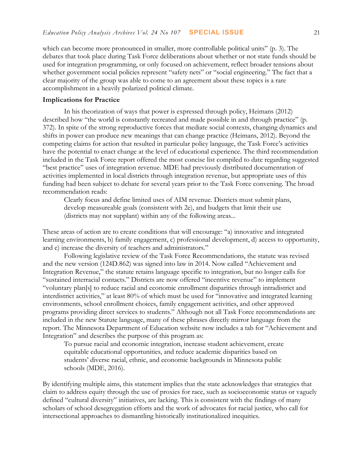which can become more pronounced in smaller, more controllable political units" (p. 3). The debates that took place during Task Force deliberations about whether or not state funds should be used for integration programming, or only focused on achievement, reflect broader tensions about whether government social policies represent "safety nets" or "social engineering." The fact that a clear majority of the group was able to come to an agreement about these topics is a rare accomplishment in a heavily polarized political climate.

#### **Implications for Practice**

In his theorization of ways that power is expressed through policy, Heimans (2012) described how "the world is constantly recreated and made possible in and through practice" (p. 372). In spite of the strong reproductive forces that mediate social contexts, changing dynamics and shifts in power can produce new meanings that can change practice (Heimans, 2012). Beyond the competing claims for action that resulted in particular policy language, the Task Force's activities have the potential to enact change at the level of educational experience. The third recommendation included in the Task Force report offered the most concise list compiled to date regarding suggested "best practice" uses of integration revenue. MDE had previously distributed documentation of activities implemented in local districts through integration revenue, but appropriate uses of this funding had been subject to debate for several years prior to the Task Force convening. The broad recommendation reads:

Clearly focus and define limited uses of AIM revenue. Districts must submit plans, develop measureable goals (consistent with 2e), and budgets that limit their use (districts may not supplant) within any of the following areas...

These areas of action are to create conditions that will encourage: "a) innovative and integrated learning environments, b) family engagement, c) professional development, d) access to opportunity, and e) increase the diversity of teachers and administrators."

Following legislative review of the Task Force Recommendations, the statute was revised and the new version (124D.862) was signed into law in 2014. Now called "Achievement and Integration Revenue," the statute retains language specific to integration, but no longer calls for "sustained interracial contacts." Districts are now offered "incentive revenue" to implement "voluntary plan[s] to reduce racial and economic enrollment disparities through intradistrict and interdistrict activities," at least 80% of which must be used for "innovative and integrated learning environments, school enrollment choices, family engagement activities, and other approved programs providing direct services to students." Although not all Task Force recommendations are included in the new Statute language, many of these phrases directly mirror language from the report. The Minnesota Department of Education website now includes a tab for "Achievement and Integration" and describes the purpose of this program as:

To pursue racial and economic integration, increase student achievement, create equitable educational opportunities, and reduce academic disparities based on students' diverse racial, ethnic, and economic backgrounds in Minnesota public schools (MDE, 2016).

By identifying multiple aims, this statement implies that the state acknowledges that strategies that claim to address equity through the use of proxies for race, such as socioeconomic status or vaguely defined "cultural diversity" initiatives, are lacking. This is consistent with the findings of many scholars of school desegregation efforts and the work of advocates for racial justice, who call for intersectional approaches to dismantling historically institutionalized inequities.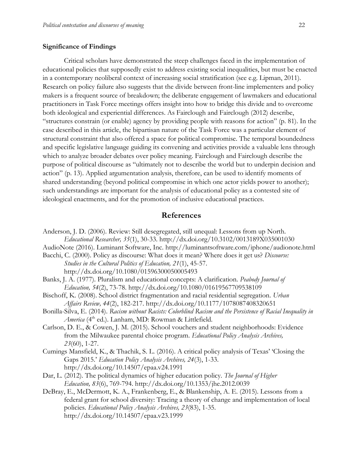#### **Significance of Findings**

Critical scholars have demonstrated the steep challenges faced in the implementation of educational policies that supposedly exist to address existing social inequalities, but must be enacted in a contemporary neoliberal context of increasing social stratification (see e.g. Lipman, 2011). Research on policy failure also suggests that the divide between front-line implementers and policy makers is a frequent source of breakdown; the deliberate engagement of lawmakers and educational practitioners in Task Force meetings offers insight into how to bridge this divide and to overcome both ideological and experiential differences. As Fairclough and Fairclough (2012) describe, "structures constrain (or enable) agency by providing people with reasons for action" (p. 81). In the case described in this article, the bipartisan nature of the Task Force was a particular element of structural constraint that also offered a space for political compromise. The temporal boundedness and specific legislative language guiding its convening and activities provide a valuable lens through which to analyze broader debates over policy meaning. Fairclough and Fairclough describe the purpose of political discourse as "ultimately not to describe the world but to underpin decision and action" (p. 13). Applied argumentation analysis, therefore, can be used to identify moments of shared understanding (beyond political compromise in which one actor yields power to another); such understandings are important for the analysis of educational policy as a contested site of ideological enactments, and for the promotion of inclusive educational practices.

# **References**

- Anderson, J. D. (2006). Review: Still desegregated, still unequal: Lessons from up North. *Educational Researcher, 35*(1), 30-33. <http://dx.doi.org/10.3102/0013189X035001030>
- AudioNote (2016). Luminant Software, Inc. http://luminantsoftware.com/iphone/audionote.html
- Bacchi, C. (2000). Policy as discourse: What does it mean? Where does it get us? *Discourse: Studies in the Cultural Politics of Education, 21*(1), 45-57. <http://dx.doi.org/10.1080/01596300050005493>
- Banks, J. A. (1977). Pluralism and educational concepts: A clarification. *Peabody Journal of Education, 54*(2), 73-78. <http://dx.doi.org/10.1080/01619567709538109>
- Bischoff, K. (2008). School district fragmentation and racial residential segregation. *Urban Affairs Review, 44*(2), 182-217.<http://dx.doi.org/10.1177/1078087408320651>
- Bonilla-Silva, E. (2014). *Racism without Racists: Colorblind Racism and the Persistence of Racial Inequality in America* (4th ed.). Lanham, MD: Rowman & Littlefield.
- Carlson, D. E., & Cowen, J. M. (2015). School vouchers and student neighborhoods: Evidence from the Milwaukee parental choice program. *Educational Policy Analysis Archives, 23*(60), 1-27.
- Cumings Mansfield, K., & Thachik, S. L. (2016). A critical policy analysis of Texas' 'Closing the Gaps 2015.' *Education Policy Analysis Archives, 24*(3), 1-33. http://dx.doi.org/10.14507/epaa.v24.1991
- Dar, L. (2012). The political dynamics of higher education policy. *The Journal of Higher Education, 83*(6), 769-794. <http://dx.doi.org/10.1353/jhe.2012.0039>
- DeBray, E., McDermott, K. A., Frankenberg, E., & Blankenship, A. E. (2015). Lessons from a federal grant for school diversity: Tracing a theory of change and implementation of local policies. *Educational Policy Analysis Archives, 23*(83), 1-35. <http://dx.doi.org/10.14507/epaa.v23.1999>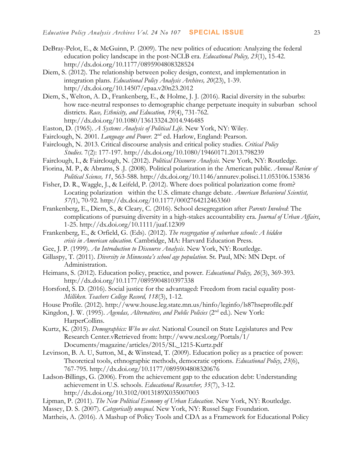- DeBray-Pelot, E., & McGuinn, P. (2009). The new politics of education: Analyzing the federal education policy landscape in the post-NCLB era. *Educational Policy, 23*(1), 15-42. <http://dx.doi.org/10.1177/0895904808328524>
- Diem, S. (2012). The relationship between policy design, context, and implementation in integration plans. *Educational Policy Analysis Archives, 20*(23), 1-39. <http://dx.doi.org/10.14507/epaa.v20n23.2012>
- Diem, S., Welton, A. D., Frankenberg, E., & Holme, J. J. (2016). Racial diversity in the suburbs: how race-neutral responses to demographic change perpetuate inequity in suburban school districts. *Race, Ethnicity, and Education, 19*(4), 731-762. <http://dx.doi.org/10.1080/13613324.2014.946485>
- Easton, D. (1965). *A Systems Analysis of Political Life*. New York, NY: Wiley.
- Fairclough, N. 2001. *Language and Power*. 2<sup>nd</sup> ed. Harlow, England: Pearson.
- Fairclough, N. 2013. Critical discourse analysis and critical policy studies. *Critical Policy Studies*. 7(2): 177-197.<http://dx.doi.org/10.1080/19460171.2013.798239>
- Fairclough, I., & Fairclough, N. (2012). *Political Discourse Analysis.* New York, NY: Routledge.
- Fiorina, M. P., & Abrams, S .J. (2008). Political polarization in the American public. *Annual Review of Political Science, 11*, 563-588.<http://dx.doi.org/10.1146/annurev.polisci.11.053106.153836>
- Fisher, D. R., Waggle, J., & Leifeld, P. (2012). Where does political polarization come from? Locating polarization within the U.S. climate change debate. *American Behavioral Scientist, 57(*1), 70-92.<http://dx.doi.org/10.1177/0002764212463360>
- Frankenberg, E., Diem, S., & Cleary, C. (2016). School desegregation after *Parents Involved*: The complications of pursuing diversity in a high-stakes accountability era. *Journal of Urban Affairs*, 1-25.<http://dx.doi.org/10.1111/juaf.12309>
- Frankenberg, E., & Orfield, G. (Eds). (2012). *The resegregation of suburban schools: A hidden crisis in American education.* Cambridge, MA: Harvard Education Press.
- Gee, J. P. (1999). *An Introduction to Discourse Analysis*. New York, NY: Routledge.
- Gillaspy, T. (2011). *Diversity in Minnesota's school age population*. St. Paul, MN: MN Dept. of Administration.
- Heimans, S. (2012). Education policy, practice, and power. *Educational Policy, 26*(3), 369-393. <http://dx.doi.org/10.1177/0895904810397338>
- Horsford, S. D. (2016). Social justice for the advantaged: Freedom from racial equality post-*Milliken*. *Teachers College Record, 118*(3), 1-12.
- House Profile. (2012). http://www.house.leg.state.mn.us/hinfo/leginfo/ls87hseprofile.pdf
- Kingdon, J. W. (1995). *Agendas, Alternatives, and Public Policies* (2nd ed.)*.* New York: HarperCollins.
- Kurtz, K. (2015). *Demographics: Who we elect*. National Council on State Legislatures and Pew Research Center.vRetrieved from: http://www.ncsl.org/Portals/1/ Documents/magazine/articles/2015/SL\_1215-Kurtz.pdf
- Levinson, B. A. U, Sutton, M., & Winstead, T. (2009). Education policy as a practice of power: Theoretical tools, ethnographic methods, democratic options. *Educational Policy*, *23*(6), 767-795.<http://dx.doi.org/10.1177/0895904808320676>
- Ladson-Billings, G. (2006). From the achievement gap to the education debt: Understanding achievement in U.S. schools. *Educational Researcher, 35*(7), 3-12. <http://dx.doi.org/10.3102/0013189X035007003>
- Lipman, P. (2011). *The New Political Economy of Urban Education*. New York, NY: Routledge.
- Massey, D. S. (2007). *Categorically unequal*. New York, NY: Russel Sage Foundation.
- Mattheis, A. (2016). A Mashup of Policy Tools and CDA as a Framework for Educational Policy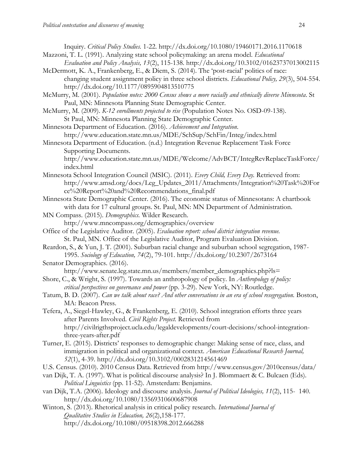Inquiry. *Critical Policy Studies.* 1-22.<http://dx.doi.org/10.1080/19460171.2016.1170618>

- Mazzoni, T. L. (1991). Analyzing state school policymaking: an arena model. *Educational Evaluation and Policy Analysis, 13*(2), 115-138. <http://dx.doi.org/10.3102/01623737013002115>
- McDermott, K. A., Frankenberg, E., & Diem, S. (2014). The 'post-racial' politics of race: changing student assignment policy in three school districts. *Educational Policy, 29*(3), 504-554. <http://dx.doi.org/10.1177/0895904813510775>
- McMurry, M. (2001). *Population notes: 2000 Census shows a more racially and ethnically diverse Minnesota*. St Paul, MN: Minnesota Planning State Demographic Center.
- McMurry, M. (2009). *K-12 enrollments projected to rise* (Population Notes No. OSD-09-138). St Paul, MN: Minnesota Planning State Demographic Center.
- Minnesota Department of Education. (2016). *Achievement and Integration*. http://www.education.state.mn.us/MDE/SchSup/SchFin/Integ/index.html
- Minnesota Department of Education. (n.d.) Integration Revenue Replacement Task Force Supporting Documents.
	- http://www.education.state.mn.us/MDE/Welcome/AdvBCT/IntegRevReplaceTaskForce/ index.html
- Minnesota School Integration Council (MSIC). (2011). *Every Child, Every Day.* Retrieved from: http://www.amsd.org/docs/Leg\_Updates\_2011/Attachments/Integration%20Task%20For ce%20Report%20and%20Recommendations\_final.pdf
- Minnesota State Demographic Center. (2016). The economic status of Minnesotans: A chartbook with data for 17 cultural groups. St. Paul, MN: MN Department of Administration.
- MN Compass. (2015). *Demographics.* Wilder Research.
- http://www.mncompass.org/demographics/overview Office of the Legislative Auditor. (2005). *Evaluation report: school district integration revenue.*
- St. Paul, MN. Office of the Legislative Auditor, Program Evaluation Division.
- Reardon, S., & Yun, J. T. (2001). Suburban racial change and suburban school segregation, 1987- 1995. *Sociology of Education, 74*(2), 79-101. <http://dx.doi.org/10.2307/2673164>
- Senator Demographics. (2016). http://www.senate.leg.state.mn.us/members/member\_demographics.php?ls=
- Shore, C., & Wright, S. (1997). Towards an anthropology of policy. In *Anthropology of policy: critical perspectives on governance and power* (pp. 3-29). New York, NY: Routledge.
- Tatum, B. D. (2007). *Can we talk about race? And other conversations in an era of school resegregation.* Boston, MA: Beacon Press.
- Tefera, A., Siegel-Hawley, G., & Frankenberg, E. (2010). School integration efforts three years after Parents Involved. *Civil Rights Project.* Retrieved from http://civilrigthsproject.ucla.edu/legaldevelopments/court-decisions/school-integrationthree-years-after.pdf
- Turner, E. (2015). Districts' responses to demographic change: Making sense of race, class, and immigration in political and organizational context. *American Educational Research Journal, 52*(1), 4-39. <http://dx.doi.org/10.3102/0002831214561469>
- U.S. Census. (2010). 2010 Census Data. Retrieved from http://www.census.gov/2010census/data/
- van Dijk, T. A. (1997). What is political discourse analysis? In J. Blommaert & C. Bulcaen (Eds). *Political Linguistics* (pp. 11-52). Amsterdam: Benjamins.
- van Dijk, T.A. (2006). Ideology and discourse analysis. *Journal of Political Ideologies, 11*(2), 115- 140. <http://dx.doi.org/10.1080/13569310600687908>
- Winton, S. (2013). Rhetorical analysis in critical policy research. *International Journal of Qualitative Studies in Education, 26*(2),158-177. <http://dx.doi.org/10.1080/09518398.2012.666288>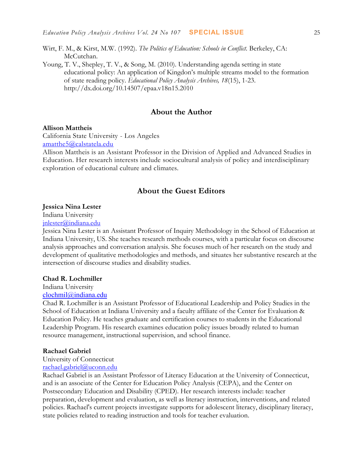Wirt, F. M., & Kirst, M.W. (1992). *The Politics of Education: Schools in Conflict.* Berkeley, CA: McCutchan.

Young, T. V., Shepley, T. V., & Song, M. (2010). Understanding agenda setting in state educational policy: An application of Kingdon's multiple streams model to the formation of state reading policy. *Educational Policy Analysis Archives, 18*(15), 1-23. <http://dx.doi.org/10.14507/epaa.v18n15.2010>

# **About the Author**

## **Allison Mattheis**

California State University - Los Angeles [amatthe5@calstatela.edu](mailto:amatthe5@calstatela.edu)

Allison Mattheis is an Assistant Professor in the Division of Applied and Advanced Studies in Education. Her research interests include sociocultural analysis of policy and interdisciplinary exploration of educational culture and climates.

# **About the Guest Editors**

#### **Jessica Nina Lester**

Indiana University

[jnlester@indiana.edu](mailto:jnlester@indiana.edu)

Jessica Nina Lester is an Assistant Professor of Inquiry Methodology in the School of Education at Indiana University, US. She teaches research methods courses, with a particular focus on discourse analysis approaches and conversation analysis. She focuses much of her research on the study and development of qualitative methodologies and methods, and situates her substantive research at the intersection of discourse studies and disability studies.

#### **Chad R. Lochmiller**

Indiana University

#### [clochmil@indiana.edu](mailto:clochmil@indiana.edu)

Chad R. Lochmiller is an Assistant Professor of Educational Leadership and Policy Studies in the School of Education at Indiana University and a faculty affiliate of the Center for Evaluation & Education Policy. He teaches graduate and certification courses to students in the Educational Leadership Program. His research examines education policy issues broadly related to human resource management, instructional supervision, and school finance.

#### **Rachael Gabriel**

University of Connecticut

#### [rachael.gabriel@uconn.edu](mailto:rachael.gabriel@uconn.edu)

Rachael Gabriel is an Assistant Professor of Literacy Education at the University of Connecticut, and is an associate of the Center for Education Policy Analysis (CEPA), and the Center on Postsecondary Education and Disability (CPED). Her research interests include: teacher preparation, development and evaluation, as well as literacy instruction, interventions, and related policies. Rachael's current projects investigate supports for adolescent literacy, disciplinary literacy, state policies related to reading instruction and tools for teacher evaluation.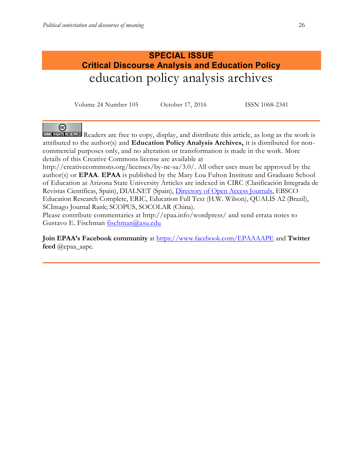# **SPECIAL ISSUE Critical Discourse Analysis and Education Policy**  education policy analysis archives

Volume 24 Number 105 October 17, 2016 ISSN 1068-2341

ര

SOME RIGHTS RESERVED Readers are free to copy, display, and distribute this article, as long as the work is attributed to the author(s) and **Education Policy Analysis Archives,** it is distributed for noncommercial purposes only, and no alteration or transformation is made in the work. More details of this Creative Commons license are available at

http://creativecommons.org/licenses/by-nc-sa/3.0/. All other uses must be approved by the author(s) or **EPAA**. **EPAA** is published by the Mary Lou Fulton Institute and Graduate School of Education at Arizona State University Articles are indexed in CIRC (Clasificación Integrada de Revistas Científicas, Spain), DIALNET (Spain), [Directory of Open Access Journals,](http://www.doaj.org/) EBSCO Education Research Complete, ERIC, Education Full Text (H.W. Wilson), QUALIS A2 (Brazil), SCImago Journal Rank; SCOPUS, SOCOLAR (China).

Please contribute commentaries at http://epaa.info/wordpress/ and send errata notes to Gustavo E. Fischman [fischman@asu.edu](mailto:fischman@asu.edu)

**Join EPAA's Facebook community** at<https://www.facebook.com/EPAAAAPE> and **Twitter feed** @epaa\_aape.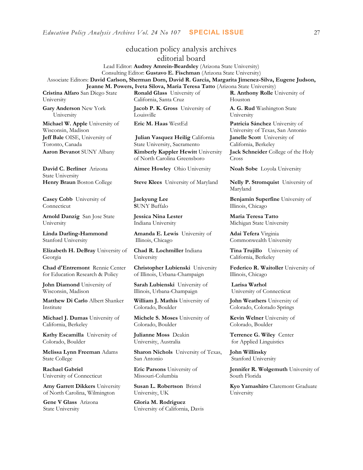education policy analysis archives editorial board Lead Editor: **Audrey Amrein-Beardsley** (Arizona State University) Consulting Editor: **Gustavo E. Fischman** (Arizona State University) Associate Editors: **David Carlson, Sherman Dorn, David R. Garcia, [Margarita Jimenez-Silva,](javascript:openRTWindow() Eugene Judson, Jeanne M. Powers, Iveta Silova, Maria Teresa Tatto** (Arizona State University) **Cristina Alfaro** San Diego State **Ronald Glass** University of California, Santa Cruz Houston **Jacob P. K. Gross** University of Louisville University **Eric M. Haas** WestEd **Patricia Sánchez** University of **Julian Vasquez Heilig** California State University, Sacramento **Aaron Bevanot** SUNY Albany **Kimberly Kappler Hewitt** University of North Carolina Greensboro Cross **Aimee Howley** Ohio University **Noah Sobe** Loyola University **Henry Braun** Boston College **Steve Klees** University of Maryland **Nelly P. Stromquist** University of **Jaekyung Lee S**UNY Buffalo **Jessica Nina Lester** Indiana University **Amanda E. Lewis** University of Illinois, Chicago **Chad R. Lochmiller** Indiana University **Christopher Lubienski** University of Illinois, Urbana-Champaign **Sarah Lubienski** University of Illinois, Urbana-Champaign **William J. Mathis** University of Colorado, Boulder **Michele S. Moses** University of Colorado, Boulder **Julianne Moss** Deakin University, Australia **Sharon Nichols** University of Texas,

> **Eric Parsons** University of Missouri-Columbia

San Antonio

**Susan L. Robertson** Bristol University, UK

**Gloria M. Rodriguez** University of California, Davis **R. Anthony Rolle** University of

**A. G. Rud** Washington State

University of Texas, San Antonio **Janelle Scott** University of California, Berkeley **Jack Schneider** College of the Holy

Maryland

**Benjamin Superfine** University of Illinois, Chicago

**Maria Teresa Tatto**  Michigan State University

**Adai Tefera** Virginia Commonwealth University

**Tina Trujillo** University of California, Berkeley

**Federico R. Waitoller** University of Illinois, Chicago

**Larisa Warhol** University of Connecticut

**John Weathers** University of Colorado, Colorado Springs

**Kevin Welner** University of Colorado, Boulder

**Terrence G. Wiley** Center for Applied Linguistics

**John Willinsky**  Stanford University

**Jennifer R. Wolgemuth** University of South Florida

**Kyo Yamashiro** Claremont Graduate University

**Gary Anderson** New York University **Michael W. Apple** University of Wisconsin, Madison **Jeff Bale** OISE, University of

University

Toronto, Canada

**David C. Berliner** Arizona State University

**Casey Cobb** University of Connecticut

**Arnold Danzig** San Jose State University

**Linda Darling-Hammond**  Stanford University

**Elizabeth H. DeBray** University of Georgia

**Chad d'Entremont** Rennie Center for Education Research & Policy

**John Diamond** University of Wisconsin, Madison

**Matthew Di Carlo** Albert Shanker Institute

**Michael J. Dumas** University of California, Berkeley

**Kathy Escamilla** University of Colorado, Boulder

**Melissa Lynn Freeman** Adams State College

**Rachael Gabriel** University of Connecticut

**Amy Garrett Dikkers** University of North Carolina, Wilmington

**Gene V Glass** Arizona State University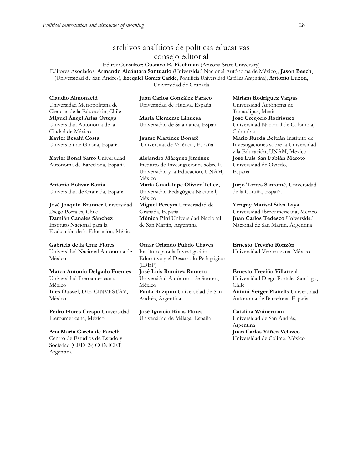# archivos analíticos de políticas educativas consejo editorial

Editor Consultor: **Gustavo E. Fischman** (Arizona State University) Editores Asociados: **Armando Alcántara Santuario** (Universidad Nacional Autónoma de México), **Jason Beech**, (Universidad de San Andrés), **Ezequiel Gomez Caride**, Pontificia Universidad Católica Argentina), **Antonio Luzon**, Universidad de Granada

**Claudio Almonacid** Universidad Metropolitana de Ciencias de la Educación, Chile **Miguel Ángel Arias Ortega**  Universidad Autónoma de la Ciudad de México **Xavier Besalú Costa**  Universitat de Girona, España

**[Xavier Bonal](javascript:openRTWindow() Sarro** Universidad Autónoma de Barcelona, España

**[Antonio Bolívar](javascript:openRTWindow() Boitia** Universidad de Granada, España

**[José Joaquín Brunner](javascript:openRTWindow()** Universidad Diego Portales, Chile **[Damián Canales Sánchez](javascript:openRTWindow()** Instituto Nacional para la Evaluación de la Educación, México

**Gabriela de la Cruz Flores** Universidad Nacional Autónoma de México

**[Marco Antonio Delgado Fuentes](javascript:openRTWindow()** Universidad Iberoamericana, México **[Inés Dussel](javascript:openRTWindow()**, DIE-CINVESTAV, México

**[Pedro Flores Crespo](javascript:openRTWindow()** Universidad Iberoamericana, México

**Ana María García de Fanelli**  Centro de Estudios de Estado y Sociedad (CEDES) CONICET, Argentina

**Juan Carlos González Faraco**  Universidad de Huelva, España

**María Clemente Linuesa**  Universidad de Salamanca, España

**Jaume Martínez Bonafé** Universitat de València, España

**Alejandro Márquez Jiménez**  Instituto de Investigaciones sobre la Universidad y la Educación, UNAM, México **María Guadalupe Olivier Tellez**, Universidad Pedagógica Nacional, México **[Miguel Pereyra](javascript:openRTWindow()** Universidad de Granada, España **[Mónica Pini](javascript:openRTWindow()** Universidad Nacional de San Martín, Argentina

**Omar Orlando Pulido Chaves** Instituto para la Investigación Educativa y el Desarrollo Pedagógico (IDEP) **[José Luis Ramírez](javascript:openRTWindow() Romero** Universidad Autónoma de Sonora, México **[Paula Razquin](javascript:openRTWindow()** Universidad de San Andrés, Argentina

**José Ignacio Rivas Flores** Universidad de Málaga, España **[Miriam Rodríguez Vargas](javascript:openRTWindow()** Universidad Autónoma de Tamaulipas, México **José Gregorio Rodríguez**  Universidad Nacional de Colombia, Colombia **[Mario Rueda Beltrán](javascript:openRTWindow()** Instituto de Investigaciones sobre la Universidad y la Educación, UNAM, México **José Luis San Fabián Maroto**  Universidad de Oviedo, España

**[Jurjo Torres Santomé](javascript:openRTWindow()**, Universidad de la Coruña, España

**[Yengny Marisol Silva Laya](javascript:openRTWindow()** Universidad Iberoamericana, México **Juan Carlos Tedesco** Universidad Nacional de San Martín, Argentina

**Ernesto Treviño Ronzón** Universidad Veracruzana, México

#### **[Ernesto Treviño](javascript:openRTWindow() Villarreal**

Universidad Diego Portales Santiago, Chile **[Antoni Verger Planells](javascript:openRTWindow()** Universidad Autónoma de Barcelona, España

**[Catalina Wainerman](javascript:openRTWindow()**

Universidad de San Andrés, Argentina **Juan Carlos Yáñez Velazco** Universidad de Colima, México